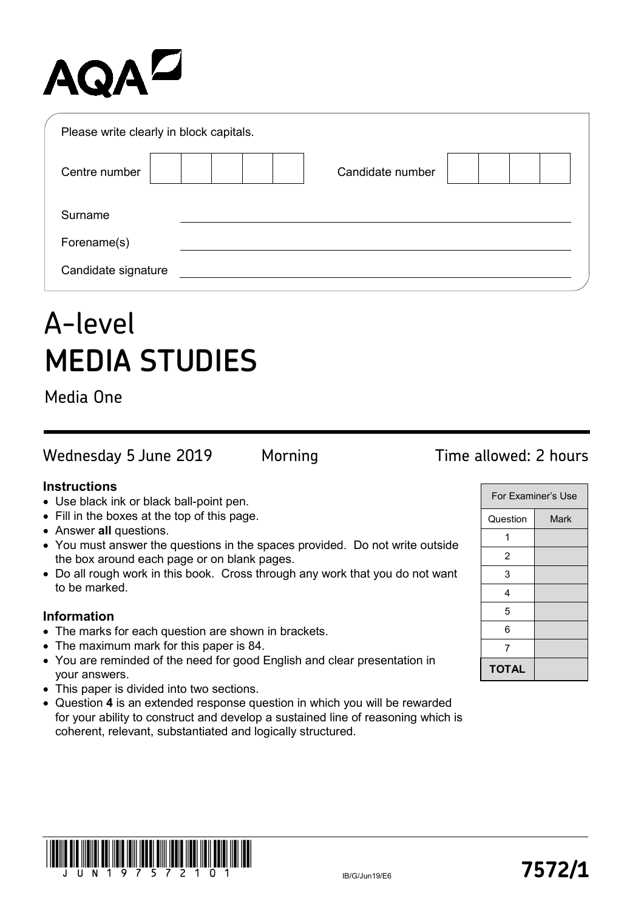# AQAZ

| Please write clearly in block capitals. |                  |  |
|-----------------------------------------|------------------|--|
| Centre number                           | Candidate number |  |
| Surname                                 |                  |  |
| Forename(s)                             |                  |  |
| Candidate signature                     |                  |  |

## A-level **MEDIA STUDIES**

Media One

Wednesday 5 June 2019 Morning Time allowed: 2 hours

- Use black ink or black ball-point pen.
- Fill in the boxes at the top of this page.
- Answer **all** questions.
- You must answer the questions in the spaces provided. Do not write outside the box around each page or on blank pages.
- Do all rough work in this book. Cross through any work that you do not want to be marked.

### **Information**

- The marks for each question are shown in brackets.
- The maximum mark for this paper is 84.
- You are reminded of the need for good English and clear presentation in your answers.
- This paper is divided into two sections.
- Question **4** is an extended response question in which you will be rewarded for your ability to construct and develop a sustained line of reasoning which is coherent, relevant, substantiated and logically structured.

|              | For Examiner's Use |
|--------------|--------------------|
| Question     | Mark               |
|              |                    |
| 2            |                    |
| 3            |                    |
| 4            |                    |
| 5            |                    |
| 6            |                    |
| 7            |                    |
| <b>TOTAL</b> |                    |

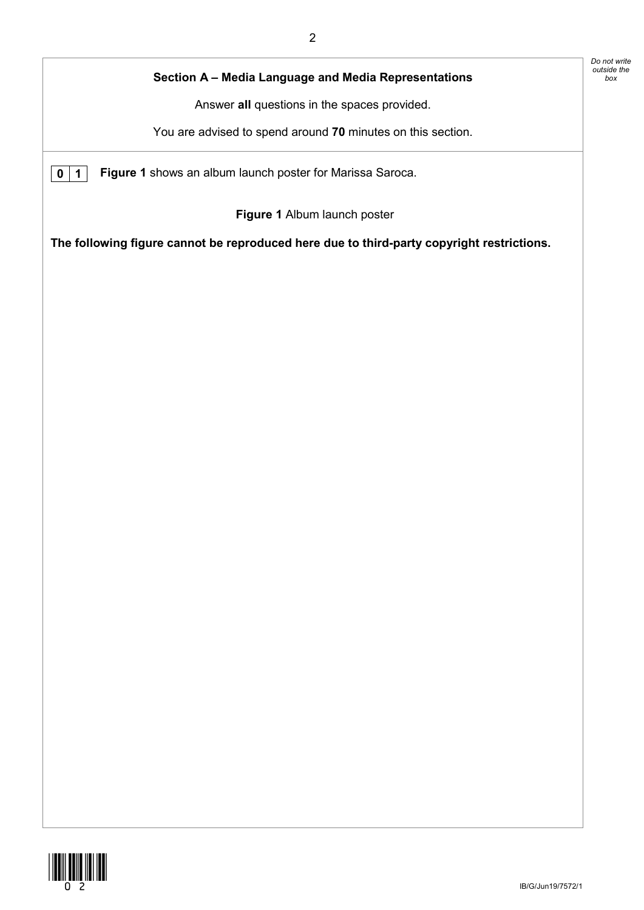|             | Section A - Media Language and Media Representations                                      |
|-------------|-------------------------------------------------------------------------------------------|
|             | Answer all questions in the spaces provided.                                              |
|             | You are advised to spend around 70 minutes on this section.                               |
| $\mathbf 1$ | Figure 1 shows an album launch poster for Marissa Saroca.                                 |
|             | Figure 1 Album launch poster                                                              |
|             | The following figure cannot be reproduced here due to third-party copyright restrictions. |
|             |                                                                                           |
|             |                                                                                           |
|             |                                                                                           |
|             |                                                                                           |
|             |                                                                                           |
|             |                                                                                           |
|             |                                                                                           |
|             |                                                                                           |
|             |                                                                                           |
|             |                                                                                           |
|             |                                                                                           |
|             |                                                                                           |
|             |                                                                                           |
|             |                                                                                           |
|             |                                                                                           |
|             |                                                                                           |
|             |                                                                                           |
|             |                                                                                           |



*Do not write outside the*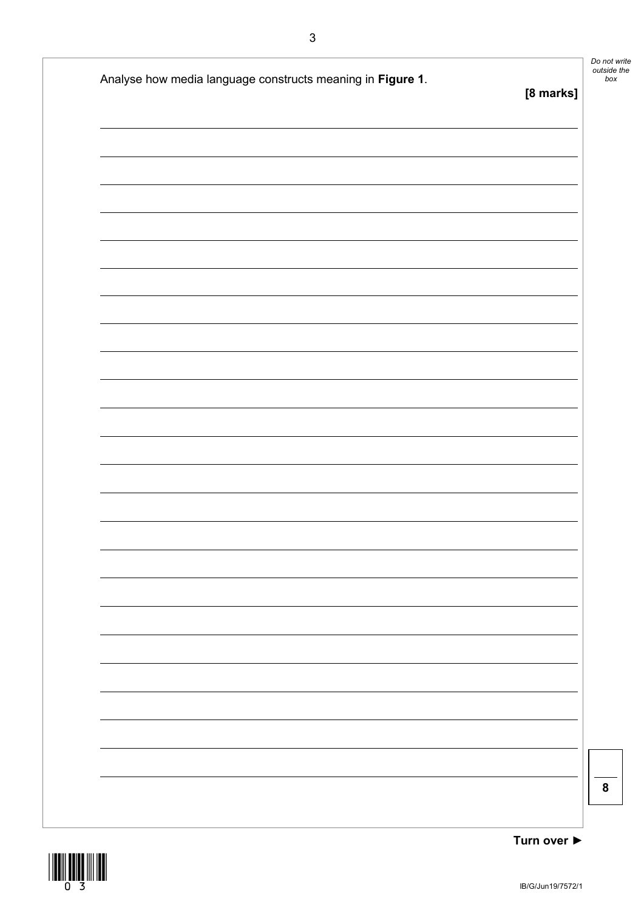| Analyse how media language constructs meaning in Figure 1. | [8 marks] |
|------------------------------------------------------------|-----------|
|                                                            |           |
|                                                            |           |
|                                                            |           |
|                                                            |           |
|                                                            |           |
|                                                            |           |
|                                                            |           |
|                                                            |           |
|                                                            |           |
|                                                            |           |
|                                                            |           |
|                                                            |           |
|                                                            |           |

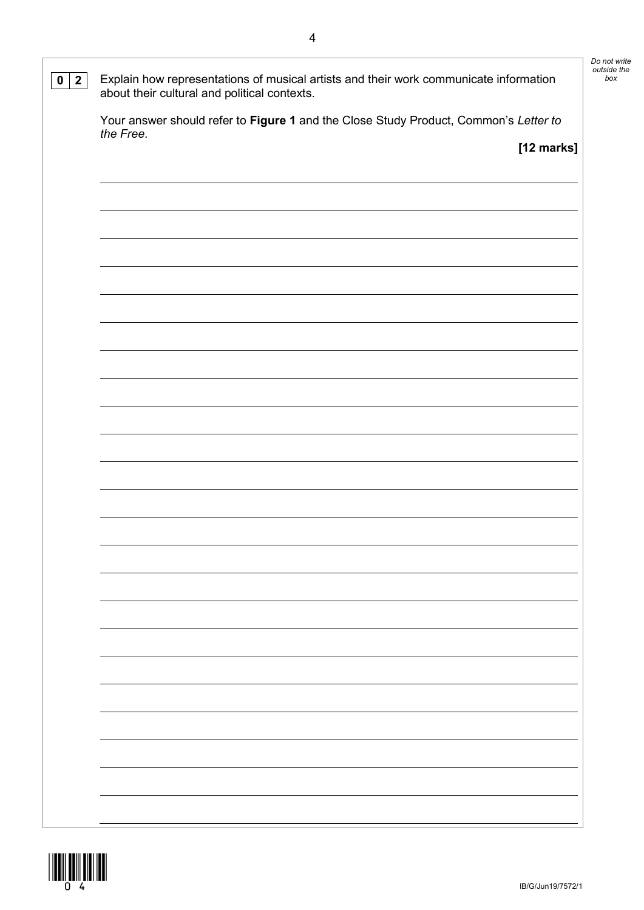| $\overline{2}$<br>$\mathbf 0$ | Explain how representations of musical artists and their work communicate information<br>about their cultural and political contexts. | Do not write<br>outside the<br>box |
|-------------------------------|---------------------------------------------------------------------------------------------------------------------------------------|------------------------------------|
|                               | Your answer should refer to Figure 1 and the Close Study Product, Common's Letter to                                                  |                                    |
|                               | the Free.<br>[12 marks]                                                                                                               |                                    |
|                               |                                                                                                                                       |                                    |
|                               |                                                                                                                                       |                                    |
|                               |                                                                                                                                       |                                    |
|                               |                                                                                                                                       |                                    |
|                               |                                                                                                                                       |                                    |
|                               |                                                                                                                                       |                                    |
|                               |                                                                                                                                       |                                    |
|                               |                                                                                                                                       |                                    |
|                               |                                                                                                                                       |                                    |
|                               |                                                                                                                                       |                                    |
|                               |                                                                                                                                       |                                    |
|                               |                                                                                                                                       |                                    |
|                               |                                                                                                                                       |                                    |
|                               |                                                                                                                                       |                                    |
|                               |                                                                                                                                       |                                    |
|                               |                                                                                                                                       |                                    |
|                               |                                                                                                                                       |                                    |
|                               |                                                                                                                                       |                                    |
|                               |                                                                                                                                       |                                    |
|                               |                                                                                                                                       |                                    |
|                               |                                                                                                                                       |                                    |
|                               |                                                                                                                                       |                                    |
|                               |                                                                                                                                       |                                    |

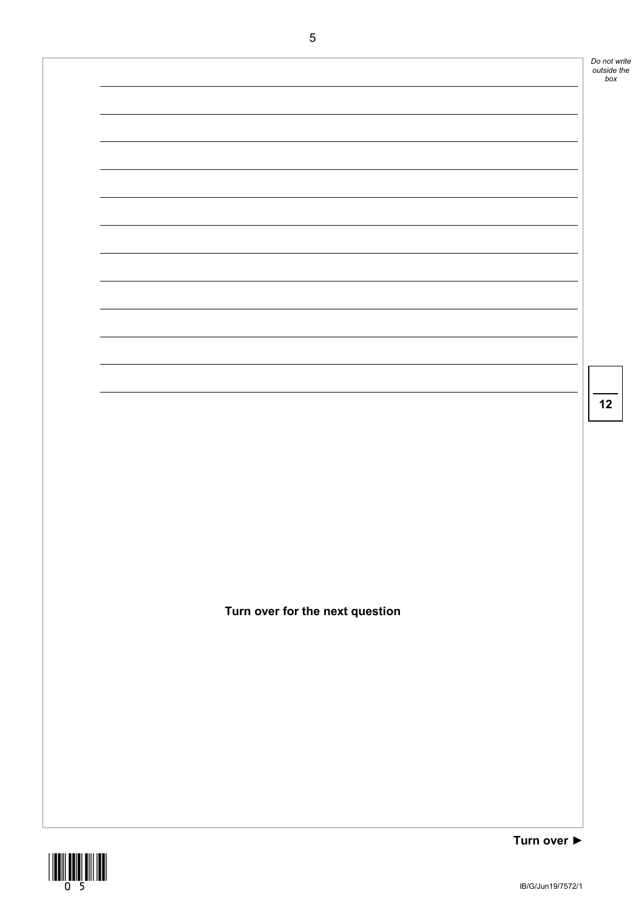|                                 |             | Do not write<br>outside the<br>box |
|---------------------------------|-------------|------------------------------------|
|                                 |             |                                    |
|                                 |             |                                    |
|                                 |             |                                    |
|                                 |             |                                    |
|                                 |             |                                    |
|                                 |             |                                    |
|                                 |             |                                    |
|                                 |             |                                    |
|                                 |             |                                    |
|                                 |             |                                    |
|                                 |             |                                    |
|                                 |             | 12                                 |
|                                 |             |                                    |
|                                 |             |                                    |
|                                 |             |                                    |
|                                 |             |                                    |
|                                 |             |                                    |
|                                 |             |                                    |
| Turn over for the next question |             |                                    |
|                                 |             |                                    |
|                                 |             |                                    |
|                                 |             |                                    |
|                                 |             |                                    |
|                                 |             |                                    |
|                                 |             |                                    |
|                                 |             |                                    |
|                                 | Turn over ▶ |                                    |

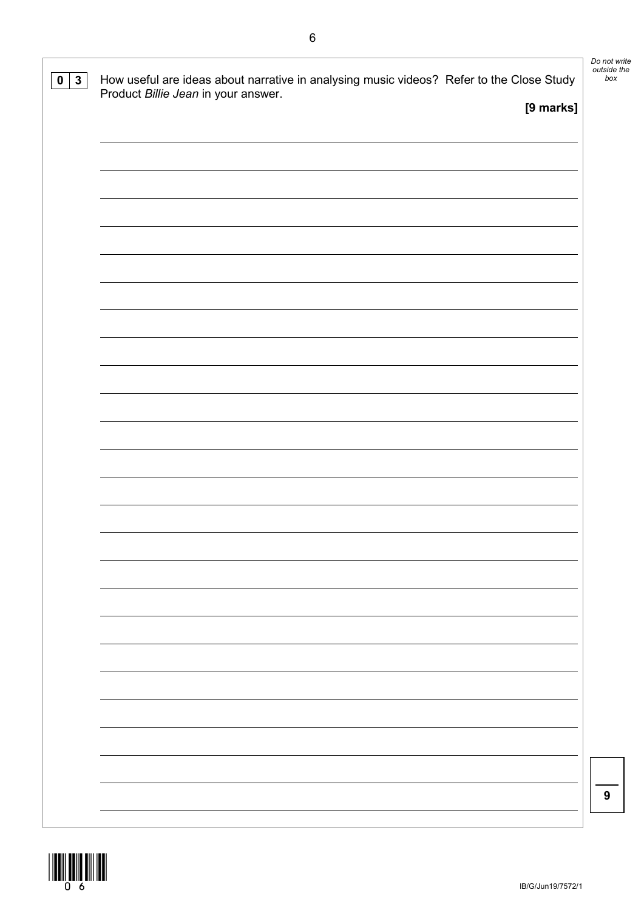| [9 marks] | Product Billie Jean in your answer. |
|-----------|-------------------------------------|
|           |                                     |
|           |                                     |
|           |                                     |
|           |                                     |
|           |                                     |
|           |                                     |
|           |                                     |
|           |                                     |
|           |                                     |
|           |                                     |
|           |                                     |
|           |                                     |
|           |                                     |
|           |                                     |
|           |                                     |
|           |                                     |
|           |                                     |
|           |                                     |
|           |                                     |
|           |                                     |
|           |                                     |
|           |                                     |
|           |                                     |
|           |                                     |
|           |                                     |
|           |                                     |
|           |                                     |
|           |                                     |
|           |                                     |
|           |                                     |
|           |                                     |
|           |                                     |

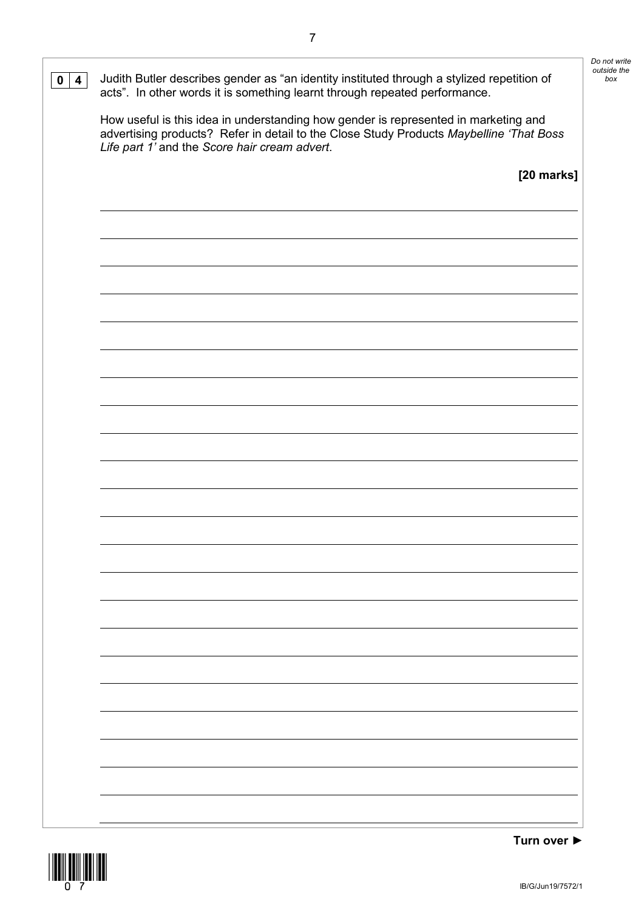| 4 | Judith Butler describes gender as "an identity instituted through a stylized repetition of<br>acts". In other words it is something learnt through repeated performance.                                                        |
|---|---------------------------------------------------------------------------------------------------------------------------------------------------------------------------------------------------------------------------------|
|   | How useful is this idea in understanding how gender is represented in marketing and<br>advertising products? Refer in detail to the Close Study Products Maybelline 'That Boss<br>Life part 1' and the Score hair cream advert. |
|   | [20 marks]                                                                                                                                                                                                                      |
|   |                                                                                                                                                                                                                                 |
|   |                                                                                                                                                                                                                                 |
|   |                                                                                                                                                                                                                                 |
|   |                                                                                                                                                                                                                                 |
|   |                                                                                                                                                                                                                                 |
|   |                                                                                                                                                                                                                                 |
|   |                                                                                                                                                                                                                                 |
|   |                                                                                                                                                                                                                                 |
|   |                                                                                                                                                                                                                                 |
|   |                                                                                                                                                                                                                                 |
|   |                                                                                                                                                                                                                                 |
|   |                                                                                                                                                                                                                                 |
|   |                                                                                                                                                                                                                                 |
|   |                                                                                                                                                                                                                                 |
|   |                                                                                                                                                                                                                                 |
|   |                                                                                                                                                                                                                                 |
|   |                                                                                                                                                                                                                                 |
|   |                                                                                                                                                                                                                                 |
|   |                                                                                                                                                                                                                                 |
|   |                                                                                                                                                                                                                                 |
|   |                                                                                                                                                                                                                                 |
|   |                                                                                                                                                                                                                                 |
|   |                                                                                                                                                                                                                                 |
|   |                                                                                                                                                                                                                                 |
|   |                                                                                                                                                                                                                                 |

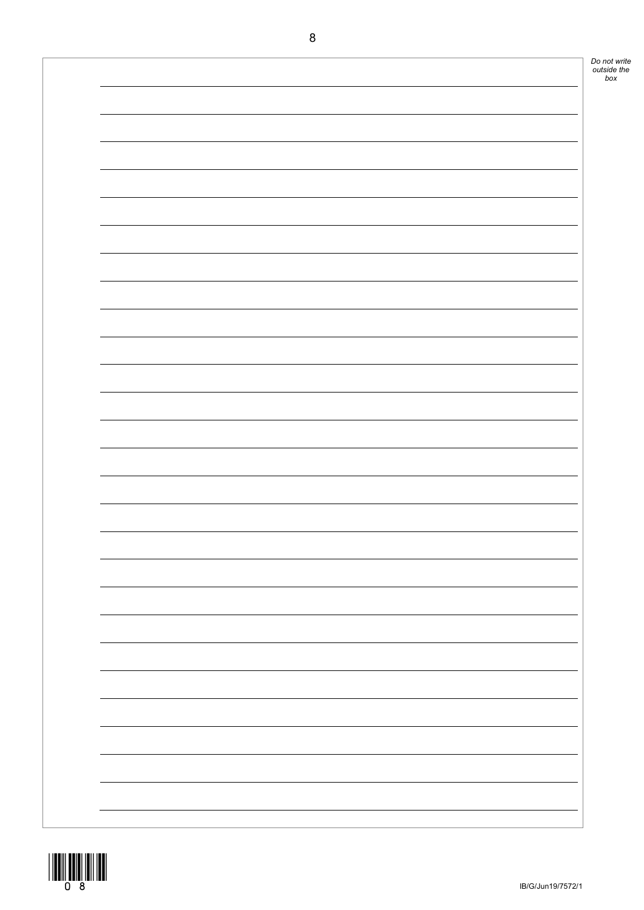

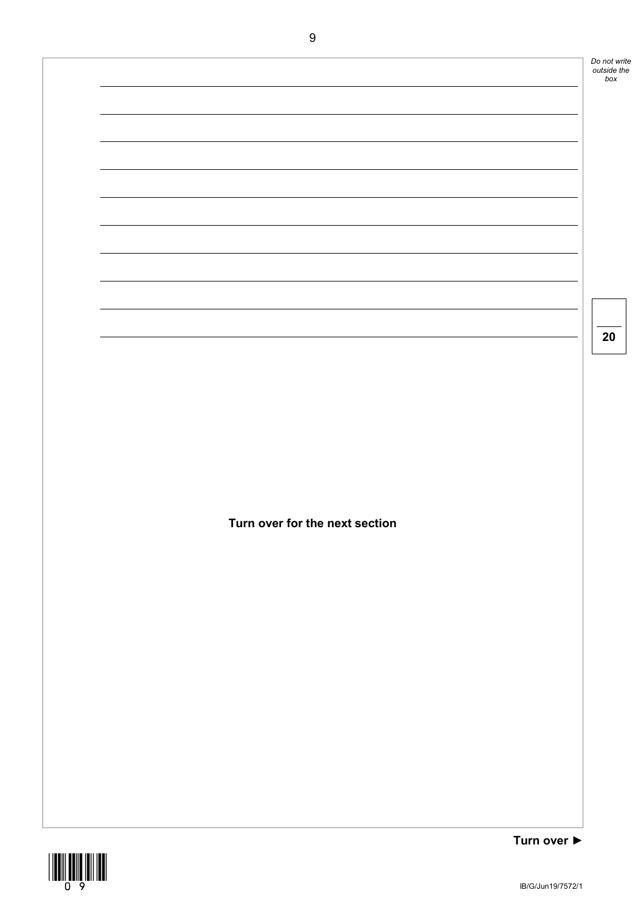**Turn over ►** *Do not write outside the box* **20 Turn over for the next section**

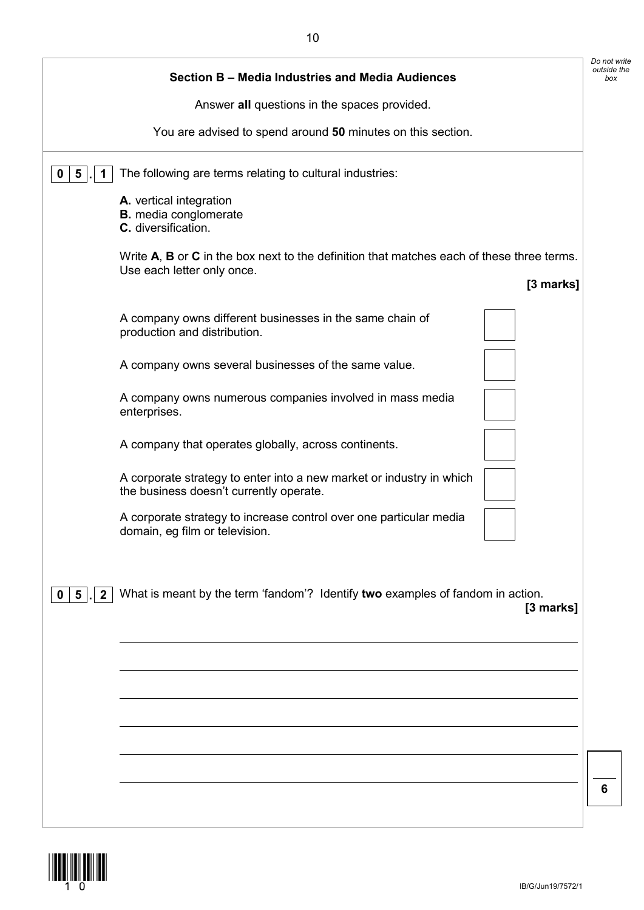|                            |                                                                                                                         |           | Do not write |
|----------------------------|-------------------------------------------------------------------------------------------------------------------------|-----------|--------------|
|                            | Section B - Media Industries and Media Audiences                                                                        |           | outside the  |
|                            | Answer all questions in the spaces provided.                                                                            |           |              |
|                            | You are advised to spend around 50 minutes on this section.                                                             |           |              |
| $5\phantom{.0}$<br>0<br>1  | The following are terms relating to cultural industries:                                                                |           |              |
|                            | A. vertical integration<br><b>B.</b> media conglomerate<br>C. diversification.                                          |           |              |
|                            | Write A, B or C in the box next to the definition that matches each of these three terms.<br>Use each letter only once. |           |              |
|                            |                                                                                                                         | [3 marks] |              |
|                            | A company owns different businesses in the same chain of<br>production and distribution.                                |           |              |
|                            | A company owns several businesses of the same value.                                                                    |           |              |
|                            | A company owns numerous companies involved in mass media<br>enterprises.                                                |           |              |
|                            | A company that operates globally, across continents.                                                                    |           |              |
|                            | A corporate strategy to enter into a new market or industry in which<br>the business doesn't currently operate.         |           |              |
|                            | A corporate strategy to increase control over one particular media<br>domain, eg film or television.                    |           |              |
|                            |                                                                                                                         |           |              |
| $0 \mid 5$<br>$\mathbf{2}$ | What is meant by the term 'fandom'? Identify two examples of fandom in action.                                          | [3 marks] |              |
|                            |                                                                                                                         |           |              |
|                            |                                                                                                                         |           |              |
|                            |                                                                                                                         |           |              |
|                            |                                                                                                                         |           |              |
|                            |                                                                                                                         |           |              |
|                            |                                                                                                                         |           |              |
|                            |                                                                                                                         |           | 6            |
|                            |                                                                                                                         |           |              |

10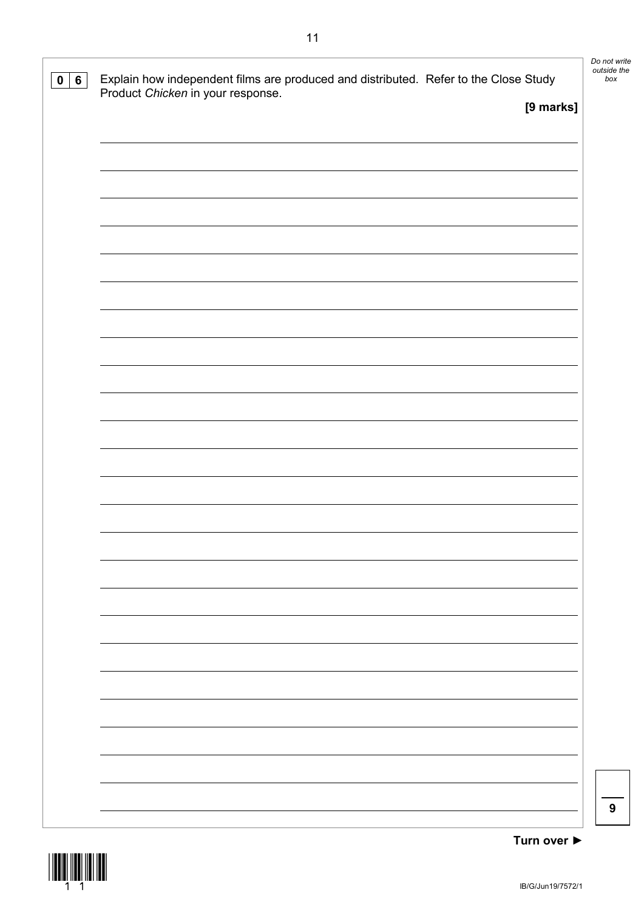| 0   6 | Explain how independent films are produced and distributed. Refer to the Close Study<br>Product Chicken in your response. | [9 marks] | Do not write<br>outside the<br>box |
|-------|---------------------------------------------------------------------------------------------------------------------------|-----------|------------------------------------|
|       |                                                                                                                           |           |                                    |
|       |                                                                                                                           |           |                                    |
|       |                                                                                                                           |           |                                    |
|       |                                                                                                                           |           |                                    |
|       |                                                                                                                           |           |                                    |
|       |                                                                                                                           |           |                                    |
|       |                                                                                                                           |           |                                    |
|       |                                                                                                                           |           |                                    |
|       |                                                                                                                           |           |                                    |
|       |                                                                                                                           |           | 9                                  |



11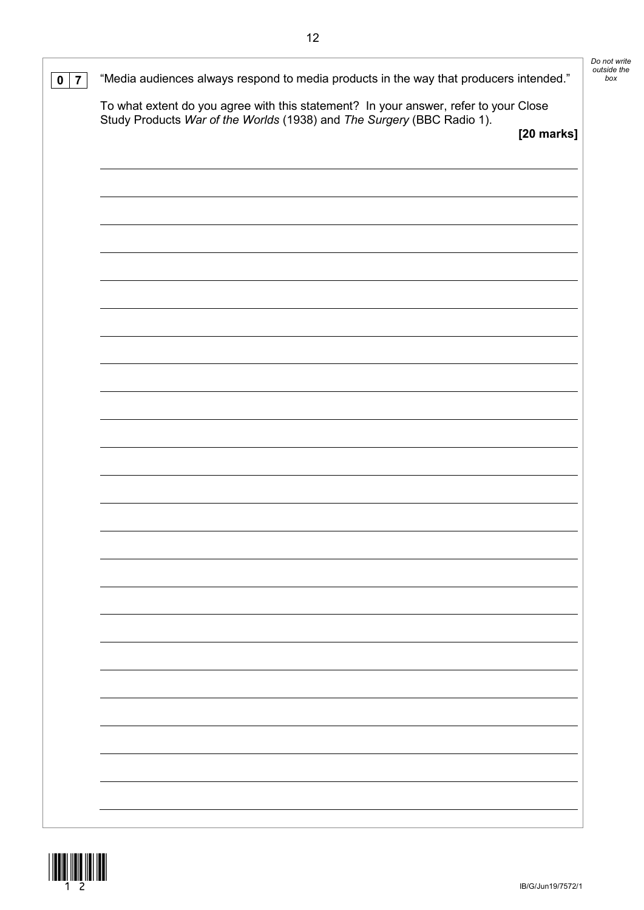| $\overline{7}$ | "Media audiences always respond to media products in the way that producers intended."                                                                         |            | Do not write<br>outside the<br>box |
|----------------|----------------------------------------------------------------------------------------------------------------------------------------------------------------|------------|------------------------------------|
|                | To what extent do you agree with this statement? In your answer, refer to your Close<br>Study Products War of the Worlds (1938) and The Surgery (BBC Radio 1). |            |                                    |
|                |                                                                                                                                                                | [20 marks] |                                    |
|                |                                                                                                                                                                |            |                                    |
|                |                                                                                                                                                                |            |                                    |
|                |                                                                                                                                                                |            |                                    |
|                |                                                                                                                                                                |            |                                    |
|                |                                                                                                                                                                |            |                                    |
|                |                                                                                                                                                                |            |                                    |
|                |                                                                                                                                                                |            |                                    |
|                |                                                                                                                                                                |            |                                    |
|                |                                                                                                                                                                |            |                                    |
|                |                                                                                                                                                                |            |                                    |
|                |                                                                                                                                                                |            |                                    |
|                |                                                                                                                                                                |            |                                    |
|                |                                                                                                                                                                |            |                                    |
|                |                                                                                                                                                                |            |                                    |
|                |                                                                                                                                                                |            |                                    |
|                |                                                                                                                                                                |            |                                    |
|                |                                                                                                                                                                |            |                                    |
|                |                                                                                                                                                                |            |                                    |
|                |                                                                                                                                                                |            |                                    |

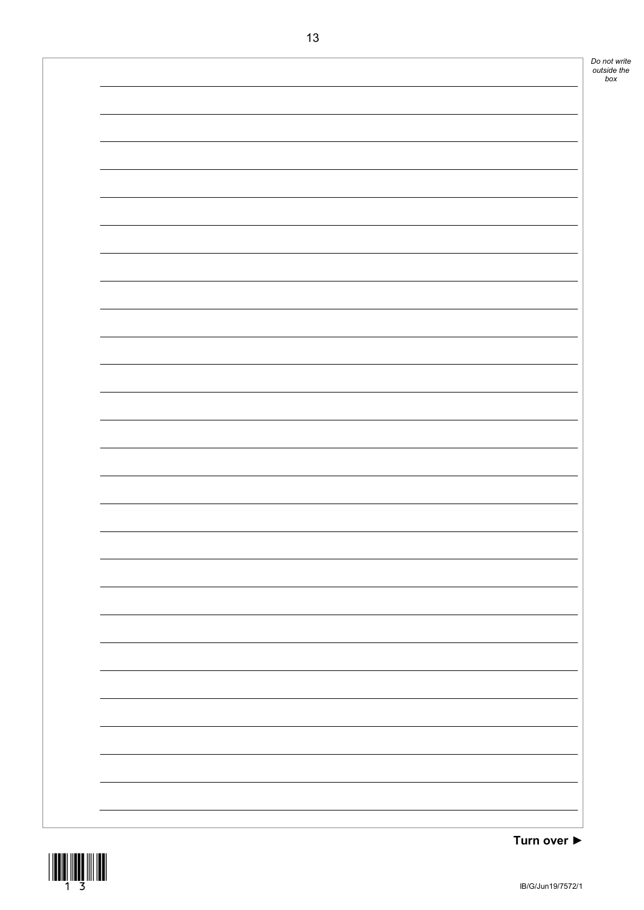

**Turn over ►**

*box*

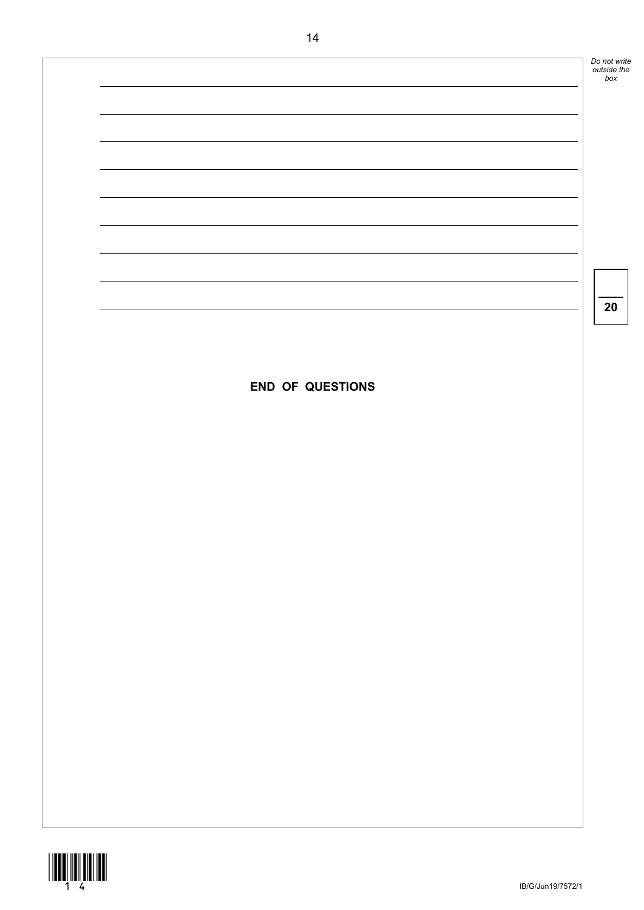*Do not write outside the box* **20 END OF QUESTIONS**

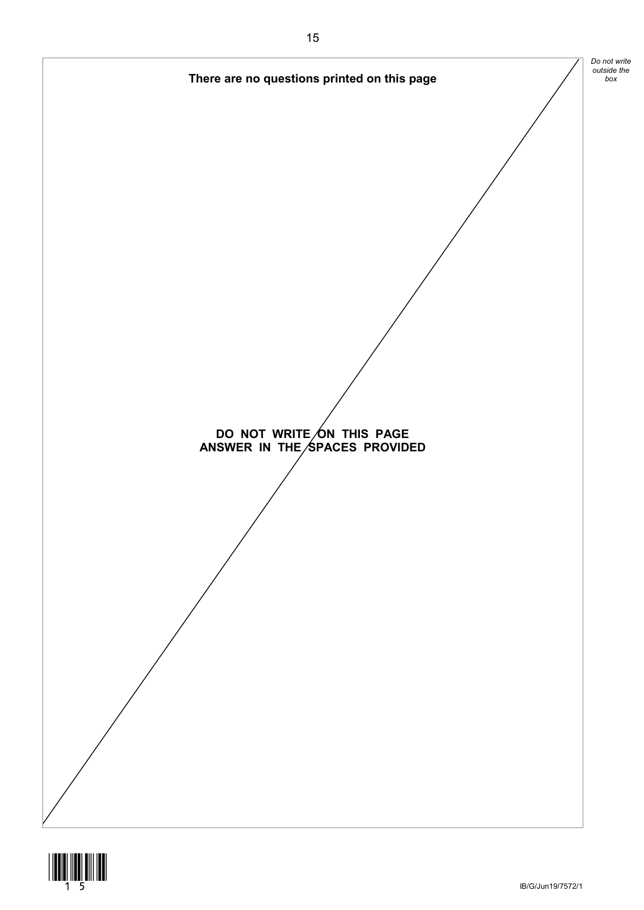